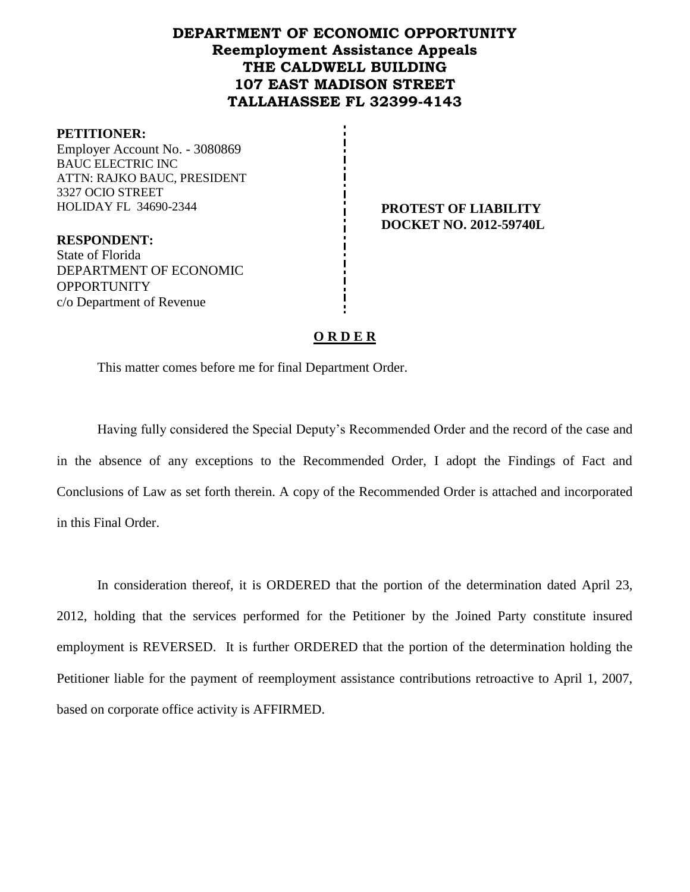# **DEPARTMENT OF ECONOMIC OPPORTUNITY Reemployment Assistance Appeals THE CALDWELL BUILDING 107 EAST MADISON STREET TALLAHASSEE FL 32399-4143**

#### **PETITIONER:**

Employer Account No. - 3080869 BAUC ELECTRIC INC ATTN: RAJKO BAUC, PRESIDENT 3327 OCIO STREET HOLIDAY FL 34690-2344 **PROTEST OF LIABILITY**

**DOCKET NO. 2012-59740L**

**RESPONDENT:** State of Florida DEPARTMENT OF ECONOMIC **OPPORTUNITY** c/o Department of Revenue

## **O R D E R**

This matter comes before me for final Department Order.

Having fully considered the Special Deputy's Recommended Order and the record of the case and in the absence of any exceptions to the Recommended Order, I adopt the Findings of Fact and Conclusions of Law as set forth therein. A copy of the Recommended Order is attached and incorporated in this Final Order.

In consideration thereof, it is ORDERED that the portion of the determination dated April 23, 2012, holding that the services performed for the Petitioner by the Joined Party constitute insured employment is REVERSED. It is further ORDERED that the portion of the determination holding the Petitioner liable for the payment of reemployment assistance contributions retroactive to April 1, 2007, based on corporate office activity is AFFIRMED.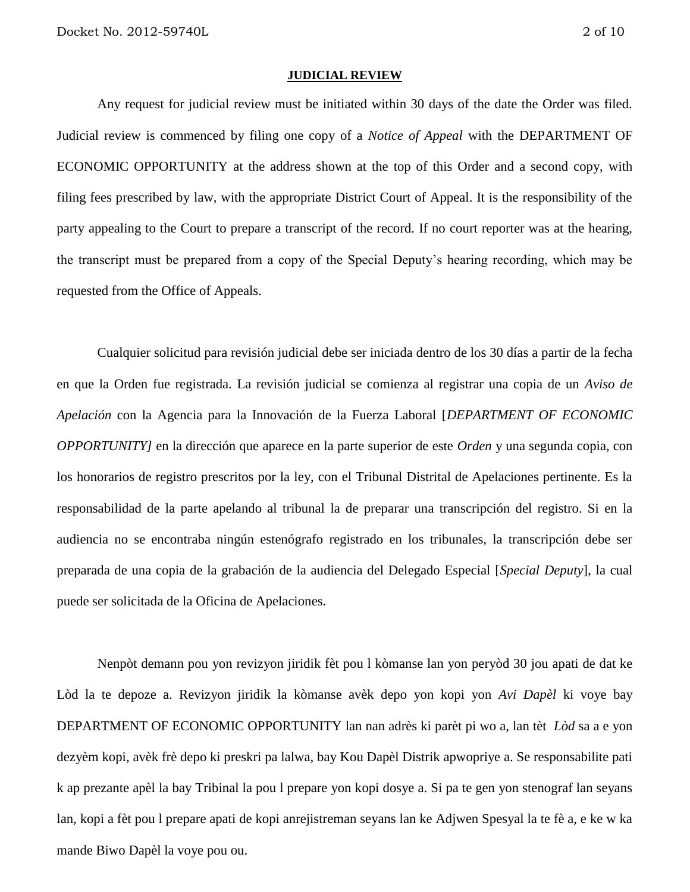#### **JUDICIAL REVIEW**

Any request for judicial review must be initiated within 30 days of the date the Order was filed. Judicial review is commenced by filing one copy of a *Notice of Appeal* with the DEPARTMENT OF ECONOMIC OPPORTUNITY at the address shown at the top of this Order and a second copy, with filing fees prescribed by law, with the appropriate District Court of Appeal. It is the responsibility of the party appealing to the Court to prepare a transcript of the record. If no court reporter was at the hearing, the transcript must be prepared from a copy of the Special Deputy's hearing recording, which may be requested from the Office of Appeals.

Cualquier solicitud para revisión judicial debe ser iniciada dentro de los 30 días a partir de la fecha en que la Orden fue registrada. La revisión judicial se comienza al registrar una copia de un *Aviso de Apelación* con la Agencia para la Innovación de la Fuerza Laboral [*DEPARTMENT OF ECONOMIC OPPORTUNITY]* en la dirección que aparece en la parte superior de este *Orden* y una segunda copia, con los honorarios de registro prescritos por la ley, con el Tribunal Distrital de Apelaciones pertinente. Es la responsabilidad de la parte apelando al tribunal la de preparar una transcripción del registro. Si en la audiencia no se encontraba ningún estenógrafo registrado en los tribunales, la transcripción debe ser preparada de una copia de la grabación de la audiencia del Delegado Especial [*Special Deputy*], la cual puede ser solicitada de la Oficina de Apelaciones.

Nenpòt demann pou yon revizyon jiridik fèt pou l kòmanse lan yon peryòd 30 jou apati de dat ke Lòd la te depoze a. Revizyon jiridik la kòmanse avèk depo yon kopi yon *Avi Dapèl* ki voye bay DEPARTMENT OF ECONOMIC OPPORTUNITY lan nan adrès ki parèt pi wo a, lan tèt *Lòd* sa a e yon dezyèm kopi, avèk frè depo ki preskri pa lalwa, bay Kou Dapèl Distrik apwopriye a. Se responsabilite pati k ap prezante apèl la bay Tribinal la pou l prepare yon kopi dosye a. Si pa te gen yon stenograf lan seyans lan, kopi a fèt pou l prepare apati de kopi anrejistreman seyans lan ke Adjwen Spesyal la te fè a, e ke w ka mande Biwo Dapèl la voye pou ou.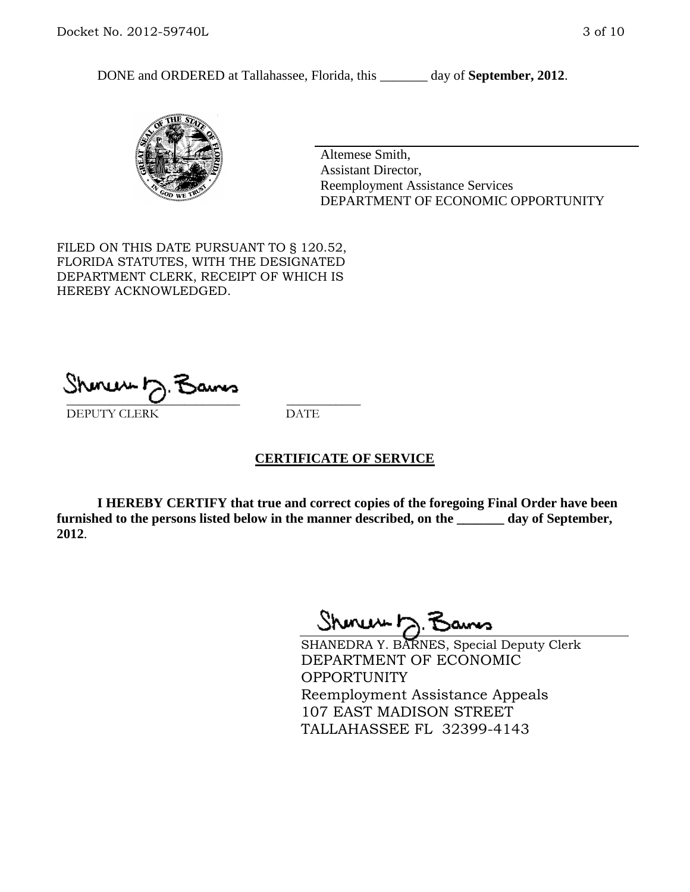DONE and ORDERED at Tallahassee, Florida, this \_\_\_\_\_\_\_ day of **September, 2012**.



Altemese Smith, Assistant Director, Reemployment Assistance Services DEPARTMENT OF ECONOMIC OPPORTUNITY

FILED ON THIS DATE PURSUANT TO § 120.52, FLORIDA STATUTES, WITH THE DESIGNATED DEPARTMENT CLERK, RECEIPT OF WHICH IS HEREBY ACKNOWLEDGED.

\_\_\_\_\_\_\_\_\_\_\_\_\_\_\_\_\_\_\_\_\_\_\_\_\_\_\_\_ \_\_\_\_\_\_\_\_\_\_\_\_ DEPUTY CLERK DATE

## **CERTIFICATE OF SERVICE**

**I HEREBY CERTIFY that true and correct copies of the foregoing Final Order have been furnished to the persons listed below in the manner described, on the \_\_\_\_\_\_\_ day of September, 2012**.

Shones b

SHANEDRA Y. BARNES, Special Deputy Clerk DEPARTMENT OF ECONOMIC **OPPORTUNITY** Reemployment Assistance Appeals 107 EAST MADISON STREET TALLAHASSEE FL 32399-4143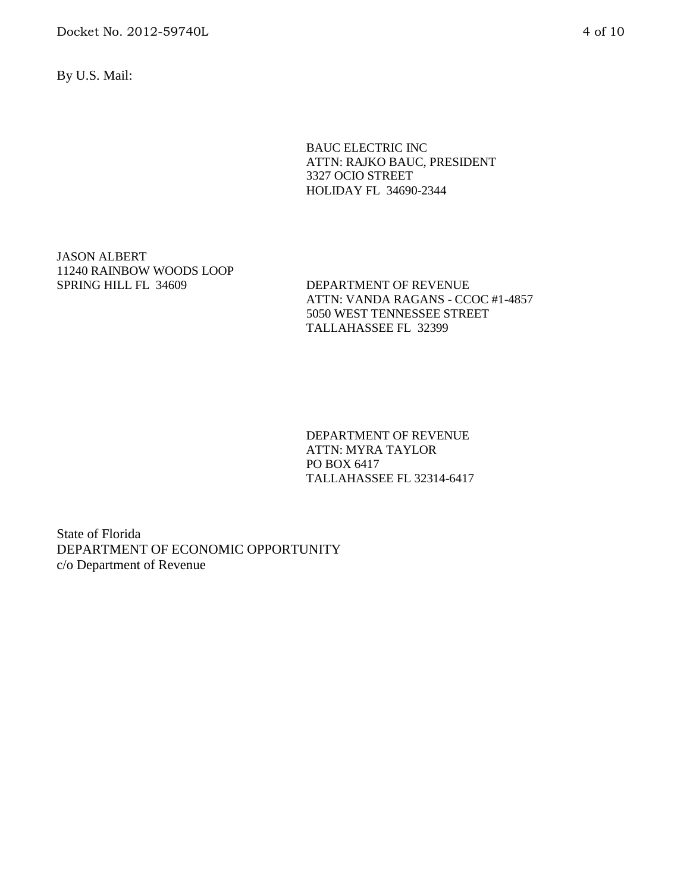Docket No. 2012-59740L 4 of 10

By U.S. Mail:

BAUC ELECTRIC INC ATTN: RAJKO BAUC, PRESIDENT 3327 OCIO STREET HOLIDAY FL 34690-2344

JASON ALBERT 11240 RAINBOW WOODS LOOP SPRING HILL FL 34609 DEPARTMENT OF REVENUE

ATTN: VANDA RAGANS - CCOC #1-4857 5050 WEST TENNESSEE STREET TALLAHASSEE FL 32399

DEPARTMENT OF REVENUE ATTN: MYRA TAYLOR PO BOX 6417 TALLAHASSEE FL 32314-6417

State of Florida DEPARTMENT OF ECONOMIC OPPORTUNITY c/o Department of Revenue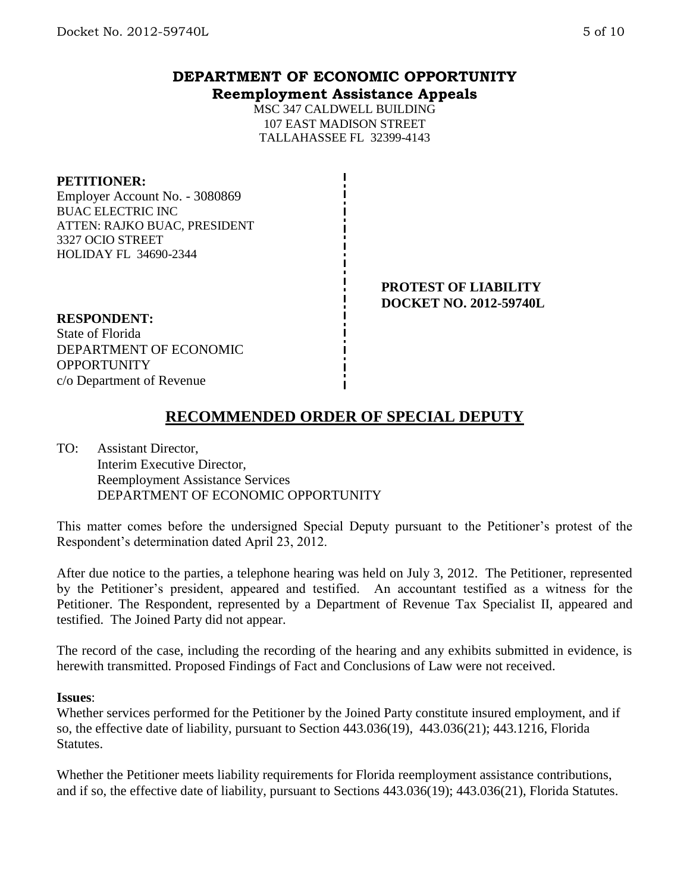# **DEPARTMENT OF ECONOMIC OPPORTUNITY Reemployment Assistance Appeals**

MSC 347 CALDWELL BUILDING 107 EAST MADISON STREET TALLAHASSEE FL 32399-4143

## **PETITIONER:**

Employer Account No. - 3080869 BUAC ELECTRIC INC ATTEN: RAJKO BUAC, PRESIDENT 3327 OCIO STREET HOLIDAY FL 34690-2344

> **PROTEST OF LIABILITY DOCKET NO. 2012-59740L**

## **RESPONDENT:**

State of Florida DEPARTMENT OF ECONOMIC **OPPORTUNITY** c/o Department of Revenue

# **RECOMMENDED ORDER OF SPECIAL DEPUTY**

TO: Assistant Director, Interim Executive Director, Reemployment Assistance Services DEPARTMENT OF ECONOMIC OPPORTUNITY

This matter comes before the undersigned Special Deputy pursuant to the Petitioner's protest of the Respondent's determination dated April 23, 2012.

After due notice to the parties, a telephone hearing was held on July 3, 2012. The Petitioner, represented by the Petitioner's president, appeared and testified. An accountant testified as a witness for the Petitioner. The Respondent, represented by a Department of Revenue Tax Specialist II, appeared and testified. The Joined Party did not appear.

The record of the case, including the recording of the hearing and any exhibits submitted in evidence, is herewith transmitted. Proposed Findings of Fact and Conclusions of Law were not received.

#### **Issues**:

Whether services performed for the Petitioner by the Joined Party constitute insured employment, and if so, the effective date of liability, pursuant to Section 443.036(19), 443.036(21); 443.1216, Florida Statutes.

Whether the Petitioner meets liability requirements for Florida reemployment assistance contributions, and if so, the effective date of liability, pursuant to Sections 443.036(19); 443.036(21), Florida Statutes.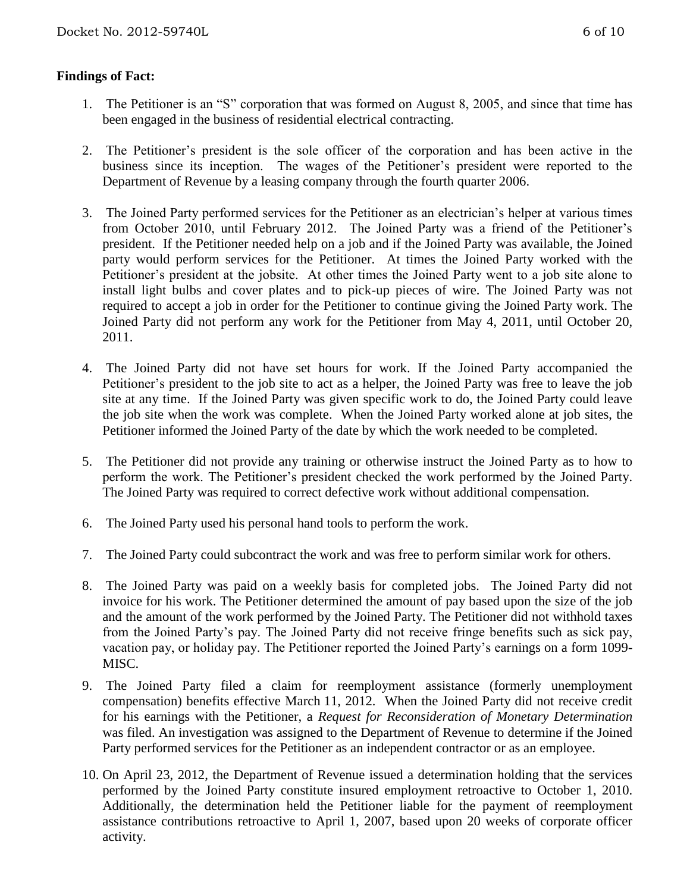# **Findings of Fact:**

- 1. The Petitioner is an "S" corporation that was formed on August 8, 2005, and since that time has been engaged in the business of residential electrical contracting.
- 2. The Petitioner's president is the sole officer of the corporation and has been active in the business since its inception. The wages of the Petitioner's president were reported to the Department of Revenue by a leasing company through the fourth quarter 2006.
- 3. The Joined Party performed services for the Petitioner as an electrician's helper at various times from October 2010, until February 2012. The Joined Party was a friend of the Petitioner's president. If the Petitioner needed help on a job and if the Joined Party was available, the Joined party would perform services for the Petitioner. At times the Joined Party worked with the Petitioner's president at the jobsite. At other times the Joined Party went to a job site alone to install light bulbs and cover plates and to pick-up pieces of wire. The Joined Party was not required to accept a job in order for the Petitioner to continue giving the Joined Party work. The Joined Party did not perform any work for the Petitioner from May 4, 2011, until October 20, 2011.
- 4. The Joined Party did not have set hours for work. If the Joined Party accompanied the Petitioner's president to the job site to act as a helper, the Joined Party was free to leave the job site at any time. If the Joined Party was given specific work to do, the Joined Party could leave the job site when the work was complete. When the Joined Party worked alone at job sites, the Petitioner informed the Joined Party of the date by which the work needed to be completed.
- 5. The Petitioner did not provide any training or otherwise instruct the Joined Party as to how to perform the work. The Petitioner's president checked the work performed by the Joined Party. The Joined Party was required to correct defective work without additional compensation.
- 6. The Joined Party used his personal hand tools to perform the work.
- 7. The Joined Party could subcontract the work and was free to perform similar work for others.
- 8. The Joined Party was paid on a weekly basis for completed jobs. The Joined Party did not invoice for his work. The Petitioner determined the amount of pay based upon the size of the job and the amount of the work performed by the Joined Party. The Petitioner did not withhold taxes from the Joined Party's pay. The Joined Party did not receive fringe benefits such as sick pay, vacation pay, or holiday pay. The Petitioner reported the Joined Party's earnings on a form 1099- MISC.
- 9. The Joined Party filed a claim for reemployment assistance (formerly unemployment compensation) benefits effective March 11, 2012. When the Joined Party did not receive credit for his earnings with the Petitioner, a *Request for Reconsideration of Monetary Determination*  was filed. An investigation was assigned to the Department of Revenue to determine if the Joined Party performed services for the Petitioner as an independent contractor or as an employee.
- 10. On April 23, 2012, the Department of Revenue issued a determination holding that the services performed by the Joined Party constitute insured employment retroactive to October 1, 2010. Additionally, the determination held the Petitioner liable for the payment of reemployment assistance contributions retroactive to April 1, 2007, based upon 20 weeks of corporate officer activity.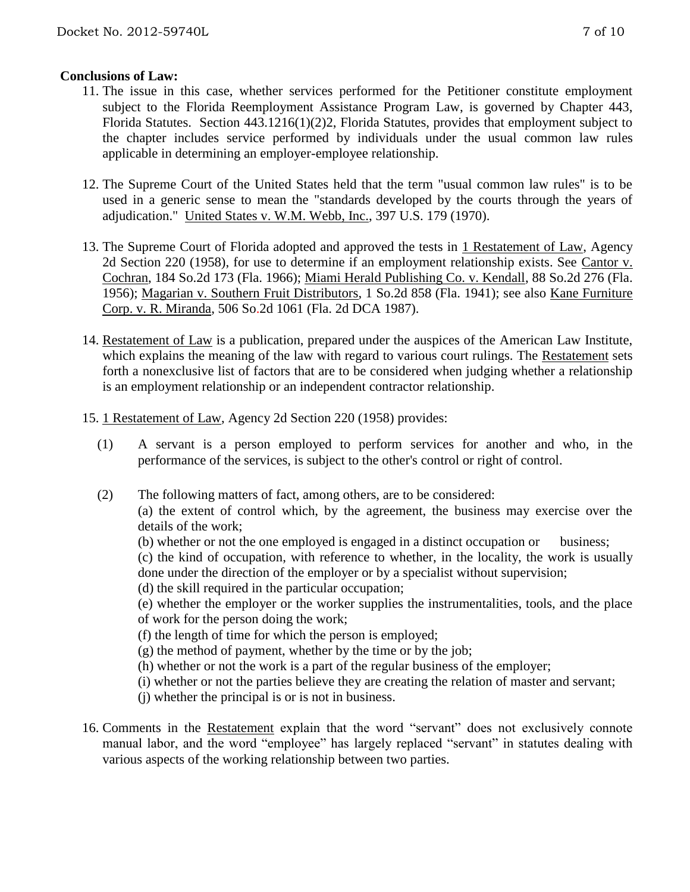# **Conclusions of Law:**

- 11. The issue in this case, whether services performed for the Petitioner constitute employment subject to the Florida Reemployment Assistance Program Law, is governed by Chapter 443, Florida Statutes. Section 443.1216(1)(2)2, Florida Statutes, provides that employment subject to the chapter includes service performed by individuals under the usual common law rules applicable in determining an employer-employee relationship.
- 12. The Supreme Court of the United States held that the term "usual common law rules" is to be used in a generic sense to mean the "standards developed by the courts through the years of adjudication." United States v. W.M. Webb, Inc., 397 U.S. 179 (1970).
- 13. The Supreme Court of Florida adopted and approved the tests in 1 Restatement of Law, Agency 2d Section 220 (1958), for use to determine if an employment relationship exists. See Cantor v. Cochran, 184 So.2d 173 (Fla. 1966); Miami Herald Publishing Co. v. Kendall, 88 So.2d 276 (Fla. 1956); Magarian v. Southern Fruit Distributors, 1 So.2d 858 (Fla. 1941); see also Kane Furniture Corp. v. R. Miranda, 506 So.2d 1061 (Fla. 2d DCA 1987).
- 14. Restatement of Law is a publication, prepared under the auspices of the American Law Institute, which explains the meaning of the law with regard to various court rulings. The Restatement sets forth a nonexclusive list of factors that are to be considered when judging whether a relationship is an employment relationship or an independent contractor relationship.
- 15. 1 Restatement of Law, Agency 2d Section 220 (1958) provides:
	- (1) A servant is a person employed to perform services for another and who, in the performance of the services, is subject to the other's control or right of control.
	- (2) The following matters of fact, among others, are to be considered: (a) the extent of control which, by the agreement, the business may exercise over the details of the work;

(b) whether or not the one employed is engaged in a distinct occupation or business; (c) the kind of occupation, with reference to whether, in the locality, the work is usually

done under the direction of the employer or by a specialist without supervision;

(d) the skill required in the particular occupation;

(e) whether the employer or the worker supplies the instrumentalities, tools, and the place of work for the person doing the work;

(f) the length of time for which the person is employed;

 $(g)$  the method of payment, whether by the time or by the job;

(h) whether or not the work is a part of the regular business of the employer;

(i) whether or not the parties believe they are creating the relation of master and servant;

- (j) whether the principal is or is not in business.
- 16. Comments in the Restatement explain that the word "servant" does not exclusively connote manual labor, and the word "employee" has largely replaced "servant" in statutes dealing with various aspects of the working relationship between two parties.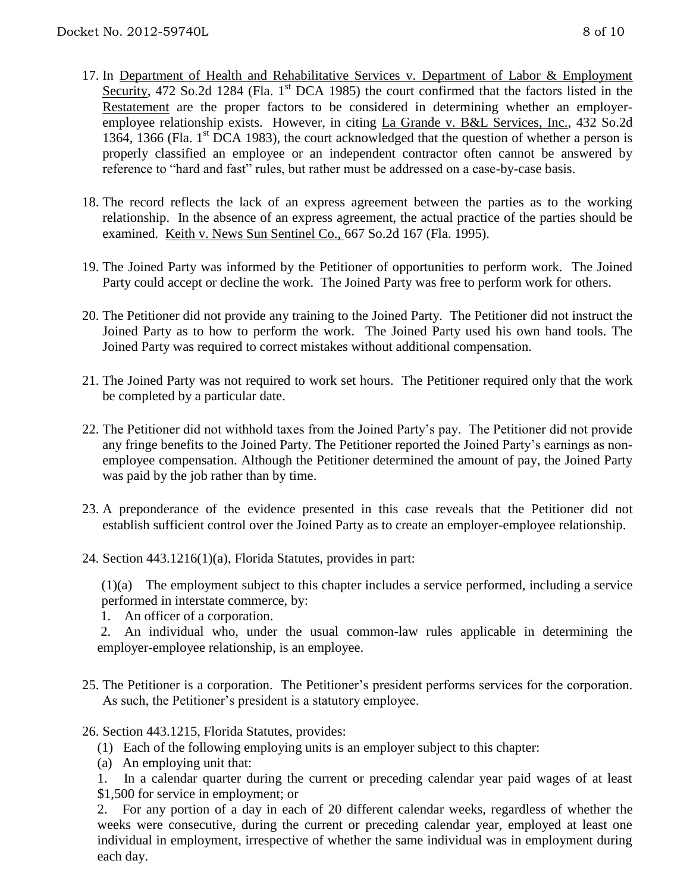- 17. In Department of Health and Rehabilitative Services v. Department of Labor & Employment Security, 472 So.2d 1284 (Fla. 1<sup>st</sup> DCA 1985) the court confirmed that the factors listed in the Restatement are the proper factors to be considered in determining whether an employeremployee relationship exists. However, in citing La Grande v. B&L Services, Inc., 432 So.2d 1364, 1366 (Fla.  $1<sup>st</sup>$  DCA 1983), the court acknowledged that the question of whether a person is properly classified an employee or an independent contractor often cannot be answered by reference to "hard and fast" rules, but rather must be addressed on a case-by-case basis.
- 18. The record reflects the lack of an express agreement between the parties as to the working relationship. In the absence of an express agreement, the actual practice of the parties should be examined. Keith v. News Sun Sentinel Co., 667 So.2d 167 (Fla. 1995).
- 19. The Joined Party was informed by the Petitioner of opportunities to perform work. The Joined Party could accept or decline the work. The Joined Party was free to perform work for others.
- 20. The Petitioner did not provide any training to the Joined Party. The Petitioner did not instruct the Joined Party as to how to perform the work. The Joined Party used his own hand tools. The Joined Party was required to correct mistakes without additional compensation.
- 21. The Joined Party was not required to work set hours. The Petitioner required only that the work be completed by a particular date.
- 22. The Petitioner did not withhold taxes from the Joined Party's pay. The Petitioner did not provide any fringe benefits to the Joined Party. The Petitioner reported the Joined Party's earnings as nonemployee compensation. Although the Petitioner determined the amount of pay, the Joined Party was paid by the job rather than by time.
- 23. A preponderance of the evidence presented in this case reveals that the Petitioner did not establish sufficient control over the Joined Party as to create an employer-employee relationship.
- 24. Section 443.1216(1)(a), Florida Statutes, provides in part:

(1)(a) The employment subject to this chapter includes a service performed, including a service performed in interstate commerce, by:

1. An officer of a corporation.

2. An individual who, under the usual common-law rules applicable in determining the employer-employee relationship, is an employee.

- 25. The Petitioner is a corporation. The Petitioner's president performs services for the corporation. As such, the Petitioner's president is a statutory employee.
- 26. Section 443.1215, Florida Statutes, provides:
	- (1) Each of the following employing units is an employer subject to this chapter:
	- (a) An employing unit that:

1. In a calendar quarter during the current or preceding calendar year paid wages of at least \$1,500 for service in employment; or

2. For any portion of a day in each of 20 different calendar weeks, regardless of whether the weeks were consecutive, during the current or preceding calendar year, employed at least one individual in employment, irrespective of whether the same individual was in employment during each day.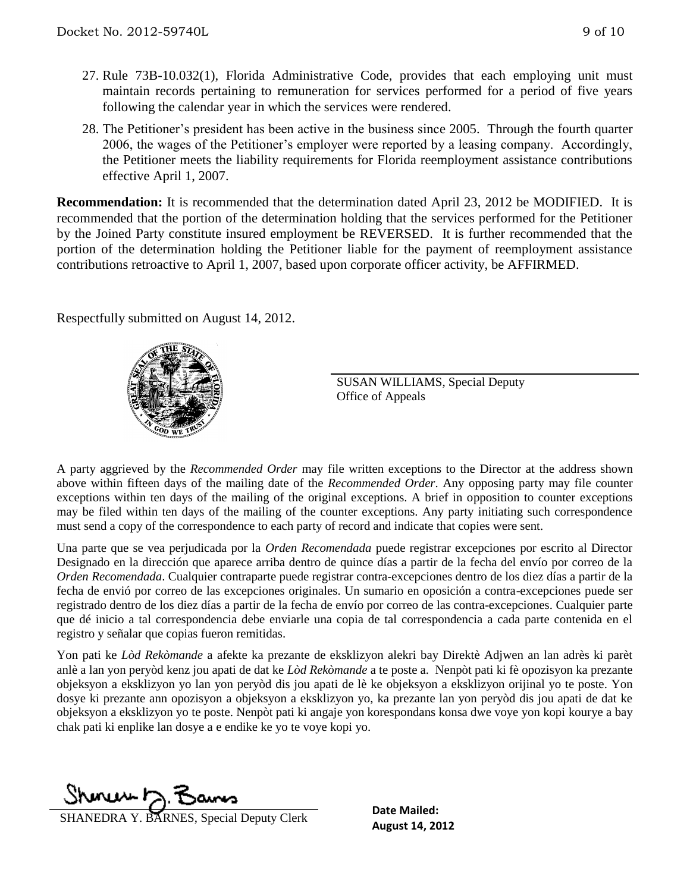- 27. Rule 73B-10.032(1), Florida Administrative Code, provides that each employing unit must maintain records pertaining to remuneration for services performed for a period of five years following the calendar year in which the services were rendered.
- 28. The Petitioner's president has been active in the business since 2005. Through the fourth quarter 2006, the wages of the Petitioner's employer were reported by a leasing company. Accordingly, the Petitioner meets the liability requirements for Florida reemployment assistance contributions effective April 1, 2007.

**Recommendation:** It is recommended that the determination dated April 23, 2012 be MODIFIED. It is recommended that the portion of the determination holding that the services performed for the Petitioner by the Joined Party constitute insured employment be REVERSED. It is further recommended that the portion of the determination holding the Petitioner liable for the payment of reemployment assistance contributions retroactive to April 1, 2007, based upon corporate officer activity, be AFFIRMED.

Respectfully submitted on August 14, 2012.



SUSAN WILLIAMS, Special Deputy Office of Appeals

A party aggrieved by the *Recommended Order* may file written exceptions to the Director at the address shown above within fifteen days of the mailing date of the *Recommended Order*. Any opposing party may file counter exceptions within ten days of the mailing of the original exceptions. A brief in opposition to counter exceptions may be filed within ten days of the mailing of the counter exceptions. Any party initiating such correspondence must send a copy of the correspondence to each party of record and indicate that copies were sent.

Una parte que se vea perjudicada por la *Orden Recomendada* puede registrar excepciones por escrito al Director Designado en la dirección que aparece arriba dentro de quince días a partir de la fecha del envío por correo de la *Orden Recomendada*. Cualquier contraparte puede registrar contra-excepciones dentro de los diez días a partir de la fecha de envió por correo de las excepciones originales. Un sumario en oposición a contra-excepciones puede ser registrado dentro de los diez días a partir de la fecha de envío por correo de las contra-excepciones. Cualquier parte que dé inicio a tal correspondencia debe enviarle una copia de tal correspondencia a cada parte contenida en el registro y señalar que copias fueron remitidas.

Yon pati ke *Lòd Rekòmande* a afekte ka prezante de eksklizyon alekri bay Direktè Adjwen an lan adrès ki parèt anlè a lan yon peryòd kenz jou apati de dat ke *Lòd Rekòmande* a te poste a. Nenpòt pati ki fè opozisyon ka prezante objeksyon a eksklizyon yo lan yon peryòd dis jou apati de lè ke objeksyon a eksklizyon orijinal yo te poste. Yon dosye ki prezante ann opozisyon a objeksyon a eksklizyon yo, ka prezante lan yon peryòd dis jou apati de dat ke objeksyon a eksklizyon yo te poste. Nenpòt pati ki angaje yon korespondans konsa dwe voye yon kopi kourye a bay chak pati ki enplike lan dosye a e endike ke yo te voye kopi yo.

<u> Shonew D. Bans</u>

**August 14, 2012**<br> **August 14, 2012** SHANEDRA Y. BARNES, Special Deputy Clerk<br> **August 14, 2012** 

**Date Mailed:**